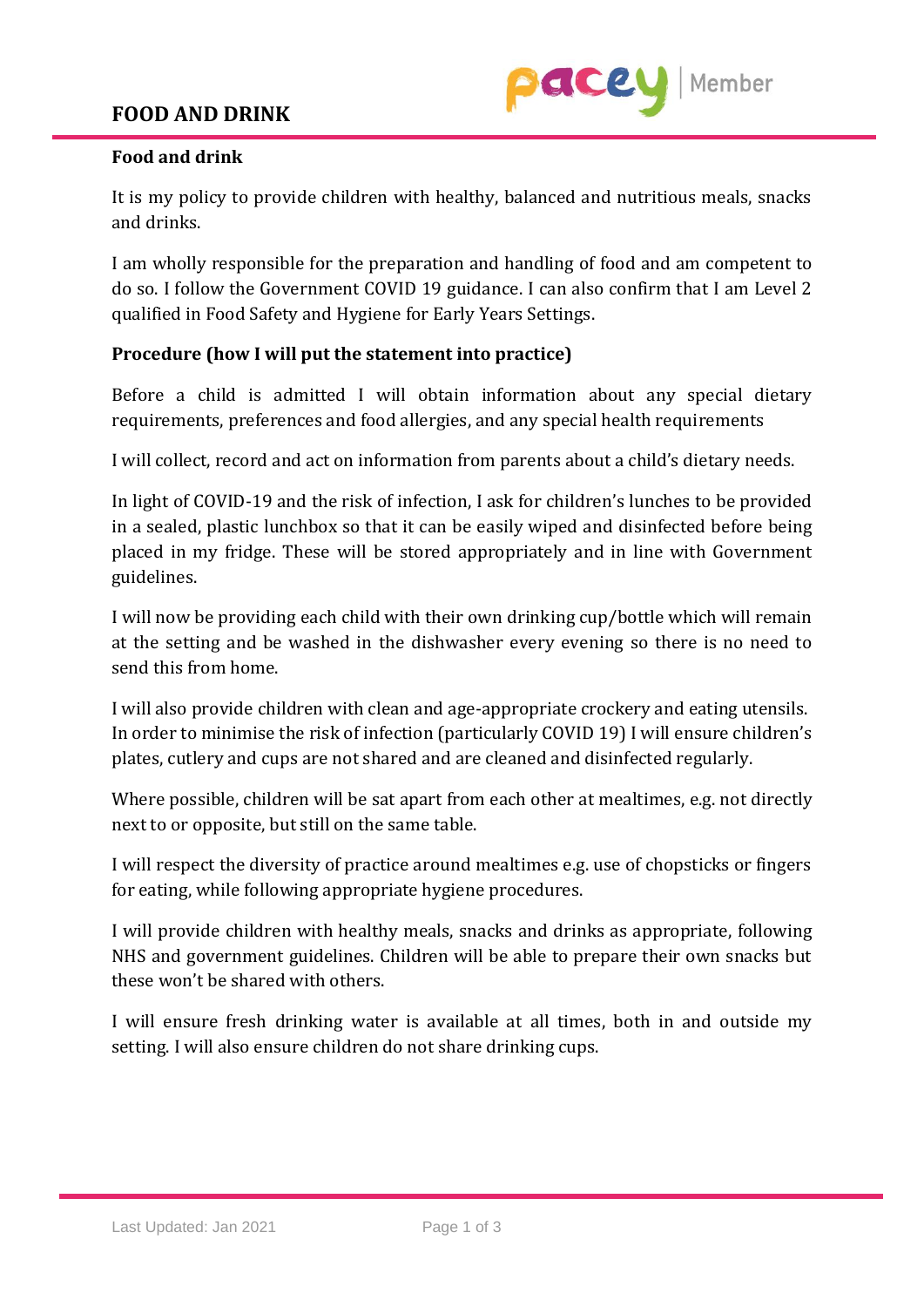## **FOOD AND DRINK**



## **Food and drink**

It is my policy to provide children with healthy, balanced and nutritious meals, snacks and drinks.

I am wholly responsible for the preparation and handling of food and am competent to do so. I follow the Government COVID 19 guidance. I can also confirm that I am Level 2 qualified in Food Safety and Hygiene for Early Years Settings.

## **Procedure (how I will put the statement into practice)**

Before a child is admitted I will obtain information about any special dietary requirements, preferences and food allergies, and any special health requirements

I will collect, record and act on information from parents about a child's dietary needs.

In light of COVID-19 and the risk of infection, I ask for children's lunches to be provided in a sealed, plastic lunchbox so that it can be easily wiped and disinfected before being placed in my fridge. These will be stored appropriately and in line with Government guidelines.

I will now be providing each child with their own drinking cup/bottle which will remain at the setting and be washed in the dishwasher every evening so there is no need to send this from home.

I will also provide children with clean and age-appropriate crockery and eating utensils. In order to minimise the risk of infection (particularly COVID 19) I will ensure children's plates, cutlery and cups are not shared and are cleaned and disinfected regularly.

Where possible, children will be sat apart from each other at mealtimes, e.g. not directly next to or opposite, but still on the same table.

I will respect the diversity of practice around mealtimes e.g. use of chopsticks or fingers for eating, while following appropriate hygiene procedures.

I will provide children with healthy meals, snacks and drinks as appropriate, following NHS and government guidelines. Children will be able to prepare their own snacks but these won't be shared with others.

I will ensure fresh drinking water is available at all times, both in and outside my setting. I will also ensure children do not share drinking cups.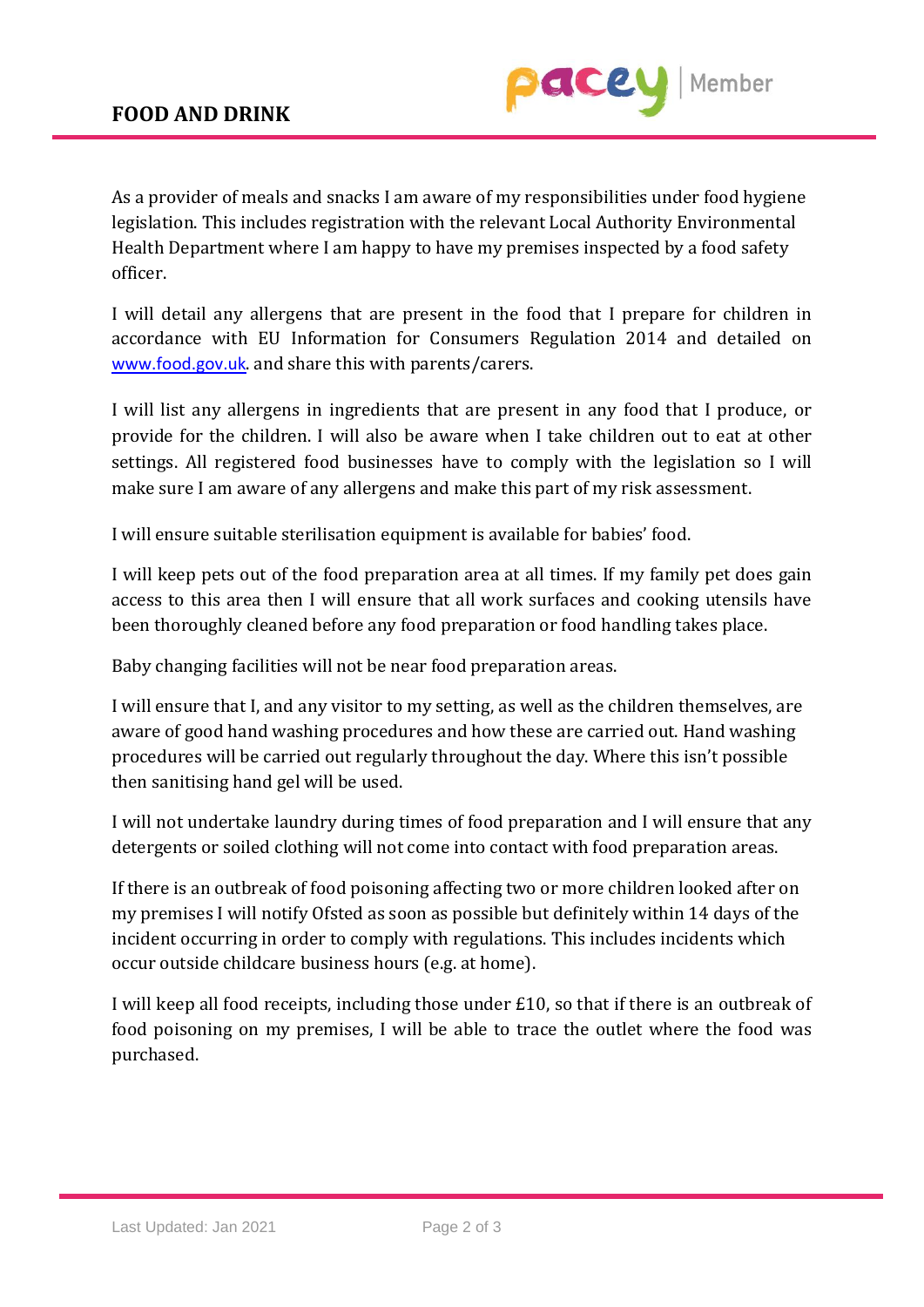

As a provider of meals and snacks I am aware of my responsibilities under food hygiene legislation. This includes registration with the relevant Local Authority Environmental Health Department where I am happy to have my premises inspected by a food safety officer.

I will detail any allergens that are present in the food that I prepare for children in accordance with EU Information for Consumers Regulation 2014 and detailed on [www.food.gov.uk](http://www.food.gov.uk/). and share this with parents/carers.

I will list any allergens in ingredients that are present in any food that I produce, or provide for the children. I will also be aware when I take children out to eat at other settings. All registered food businesses have to comply with the legislation so I will make sure I am aware of any allergens and make this part of my risk assessment.

I will ensure suitable sterilisation equipment is available for babies' food.

I will keep pets out of the food preparation area at all times. If my family pet does gain access to this area then I will ensure that all work surfaces and cooking utensils have been thoroughly cleaned before any food preparation or food handling takes place.

Baby changing facilities will not be near food preparation areas.

I will ensure that I, and any visitor to my setting, as well as the children themselves, are aware of good hand washing procedures and how these are carried out. Hand washing procedures will be carried out regularly throughout the day. Where this isn't possible then sanitising hand gel will be used.

I will not undertake laundry during times of food preparation and I will ensure that any detergents or soiled clothing will not come into contact with food preparation areas.

If there is an outbreak of food poisoning affecting two or more children looked after on my premises I will notify Ofsted as soon as possible but definitely within 14 days of the incident occurring in order to comply with regulations. This includes incidents which occur outside childcare business hours (e.g. at home).

I will keep all food receipts, including those under £10, so that if there is an outbreak of food poisoning on my premises, I will be able to trace the outlet where the food was purchased.